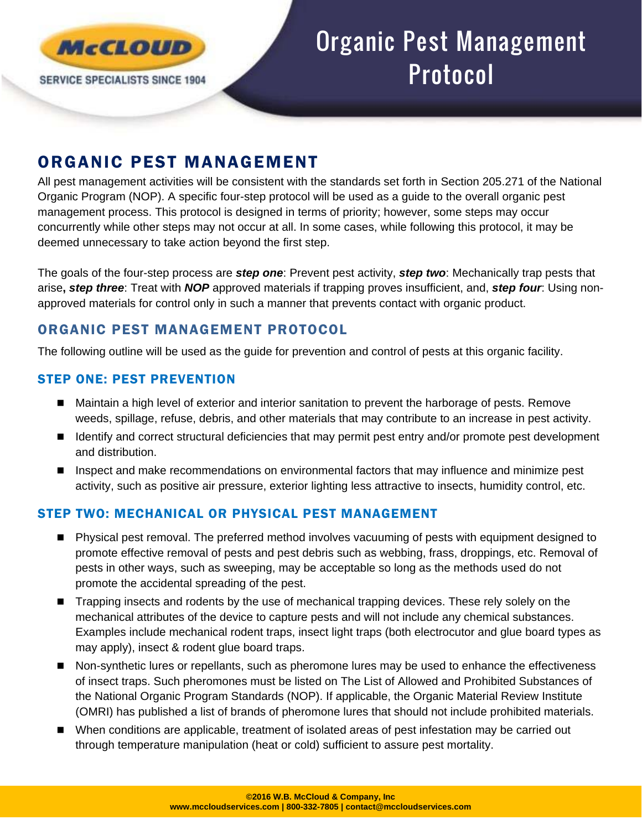

# Organic Pest Management Protocol

# ORGANIC PEST MANAGEMENT

All pest management activities will be consistent with the standards set forth in Section 205.271 of the National Organic Program (NOP). A specific four-step protocol will be used as a guide to the overall organic pest management process. This protocol is designed in terms of priority; however, some steps may occur concurrently while other steps may not occur at all. In some cases, while following this protocol, it may be deemed unnecessary to take action beyond the first step.

The goals of the four-step process are *step one*: Prevent pest activity, *step two*: Mechanically trap pests that arise**,** *step three*: Treat with *NOP* approved materials if trapping proves insufficient, and, *step four*: Using nonapproved materials for control only in such a manner that prevents contact with organic product.

# ORGANIC PEST MANAGEMENT PROTOCOL

The following outline will be used as the guide for prevention and control of pests at this organic facility.

# STEP ONE: PEST PREVENTION

- Maintain a high level of exterior and interior sanitation to prevent the harborage of pests. Remove weeds, spillage, refuse, debris, and other materials that may contribute to an increase in pest activity.
- Identify and correct structural deficiencies that may permit pest entry and/or promote pest development and distribution.
- Inspect and make recommendations on environmental factors that may influence and minimize pest activity, such as positive air pressure, exterior lighting less attractive to insects, humidity control, etc.

#### STEP TWO: MECHANICAL OR PHYSICAL PEST MANAGEMENT

- Physical pest removal. The preferred method involves vacuuming of pests with equipment designed to promote effective removal of pests and pest debris such as webbing, frass, droppings, etc. Removal of pests in other ways, such as sweeping, may be acceptable so long as the methods used do not promote the accidental spreading of the pest.
- **Trapping insects and rodents by the use of mechanical trapping devices. These rely solely on the** mechanical attributes of the device to capture pests and will not include any chemical substances. Examples include mechanical rodent traps, insect light traps (both electrocutor and glue board types as may apply), insect & rodent glue board traps.
- Non-synthetic lures or repellants, such as pheromone lures may be used to enhance the effectiveness of insect traps. Such pheromones must be listed on The List of Allowed and Prohibited Substances of the National Organic Program Standards (NOP). If applicable, the Organic Material Review Institute (OMRI) has published a list of brands of pheromone lures that should not include prohibited materials.
- When conditions are applicable, treatment of isolated areas of pest infestation may be carried out through temperature manipulation (heat or cold) sufficient to assure pest mortality.